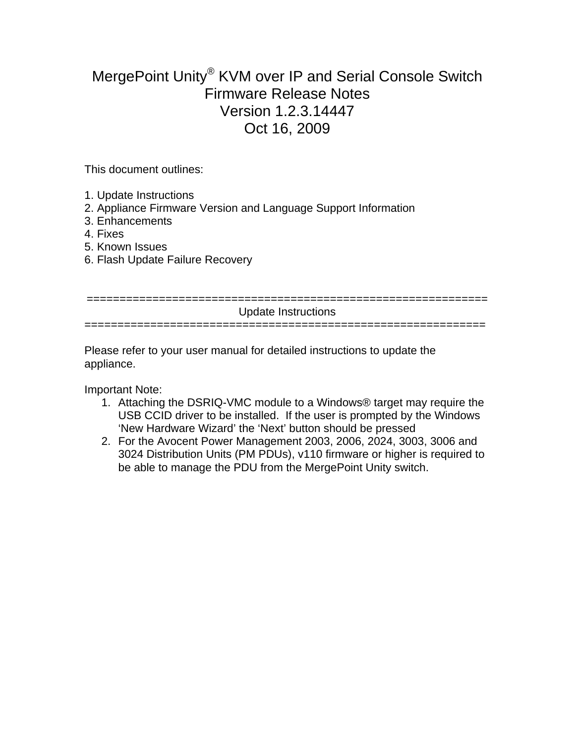## MergePoint Unity® KVM over IP and Serial Console Switch Firmware Release Notes Version 1.2.3.14447 Oct 16, 2009

This document outlines:

- 1. Update Instructions
- 2. Appliance Firmware Version and Language Support Information
- 3. Enhancements
- 4. Fixes
- 5. Known Issues
- 6. Flash Update Failure Recovery

| Update Instructions |
|---------------------|
|                     |
|                     |

Please refer to your user manual for detailed instructions to update the appliance.

Important Note:

- 1. Attaching the DSRIQ-VMC module to a Windows® target may require the USB CCID driver to be installed. If the user is prompted by the Windows 'New Hardware Wizard' the 'Next' button should be pressed
- 2. For the Avocent Power Management 2003, 2006, 2024, 3003, 3006 and 3024 Distribution Units (PM PDUs), v110 firmware or higher is required to be able to manage the PDU from the MergePoint Unity switch.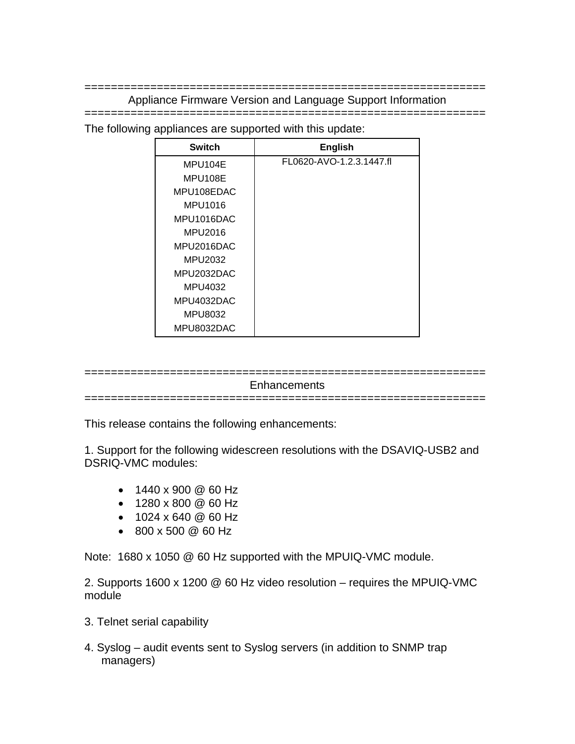=============================================================

Appliance Firmware Version and Language Support Information =============================================================

The following appliances are supported with this update:

| <b>Switch</b>  | <b>English</b>           |
|----------------|--------------------------|
| MPU104E        | FL0620-AVO-1.2.3.1447.fl |
| MPU108E        |                          |
| MPU108EDAC     |                          |
| MPU1016        |                          |
| MPU1016DAC     |                          |
| MPU2016        |                          |
| MPU2016DAC     |                          |
| MPU2032        |                          |
| MPU2032DAC     |                          |
| MPU4032        |                          |
| MPU4032DAC     |                          |
| <b>MPU8032</b> |                          |
| MPU8032DAC     |                          |

**Enhancements** 

=============================================================

=============================================================

This release contains the following enhancements:

1. Support for the following widescreen resolutions with the DSAVIQ-USB2 and DSRIQ-VMC modules:

- 1440 x 900 @ 60 Hz
- 1280 x 800 @ 60 Hz
- 1024 x 640 @ 60 Hz
- 800 x 500 @ 60 Hz

Note: 1680 x 1050 @ 60 Hz supported with the MPUIQ-VMC module.

2. Supports 1600 x 1200 @ 60 Hz video resolution – requires the MPUIQ-VMC module

- 3. Telnet serial capability
- 4. Syslog audit events sent to Syslog servers (in addition to SNMP trap managers)